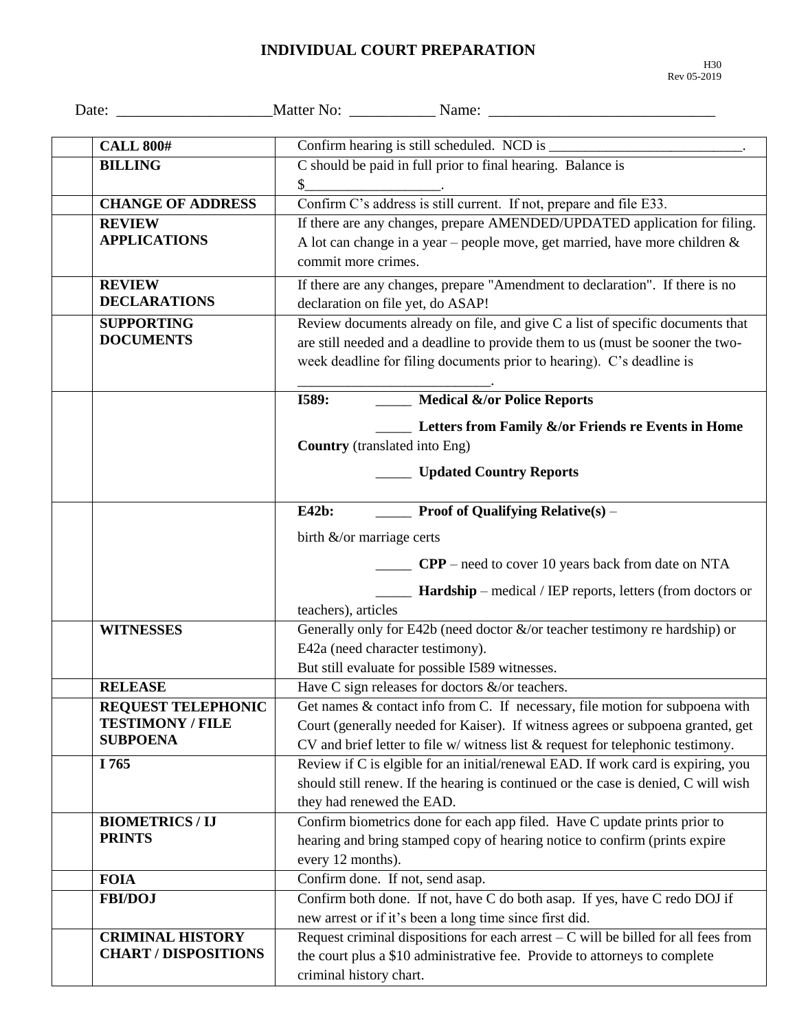## **INDIVIDUAL COURT PREPARATION**

| <b>CALL 800#</b>                                                        |                                                                                                                                                                                                                                                          |
|-------------------------------------------------------------------------|----------------------------------------------------------------------------------------------------------------------------------------------------------------------------------------------------------------------------------------------------------|
| <b>BILLING</b>                                                          | C should be paid in full prior to final hearing. Balance is                                                                                                                                                                                              |
| <b>CHANGE OF ADDRESS</b>                                                | Confirm C's address is still current. If not, prepare and file E33.                                                                                                                                                                                      |
| <b>REVIEW</b><br><b>APPLICATIONS</b>                                    | If there are any changes, prepare AMENDED/UPDATED application for filing.<br>A lot can change in a year – people move, get married, have more children $\&$<br>commit more crimes.                                                                       |
| <b>REVIEW</b><br><b>DECLARATIONS</b>                                    | If there are any changes, prepare "Amendment to declaration". If there is no<br>declaration on file yet, do ASAP!                                                                                                                                        |
| <b>SUPPORTING</b><br><b>DOCUMENTS</b>                                   | Review documents already on file, and give C a list of specific documents that<br>are still needed and a deadline to provide them to us (must be sooner the two-<br>week deadline for filing documents prior to hearing). C's deadline is                |
|                                                                         | <b>I589:</b> Medical &/or Police Reports                                                                                                                                                                                                                 |
|                                                                         | Letters from Family &/or Friends re Events in Home<br><b>Country</b> (translated into Eng)                                                                                                                                                               |
|                                                                         | <b>Example 3 Updated Country Reports</b>                                                                                                                                                                                                                 |
|                                                                         | <b>Proof of Qualifying Relative</b> (s) –<br><b>E42b:</b>                                                                                                                                                                                                |
|                                                                         | birth $\&$ /or marriage certs                                                                                                                                                                                                                            |
|                                                                         | <b>CPP</b> – need to cover 10 years back from date on NTA                                                                                                                                                                                                |
|                                                                         | <b>Hardship</b> – medical / IEP reports, letters (from doctors or<br>teachers), articles                                                                                                                                                                 |
| <b>WITNESSES</b>                                                        | Generally only for E42b (need doctor $\&$ /or teacher testimony re hardship) or                                                                                                                                                                          |
|                                                                         | E42a (need character testimony).                                                                                                                                                                                                                         |
|                                                                         | But still evaluate for possible I589 witnesses.                                                                                                                                                                                                          |
| <b>RELEASE</b>                                                          | Have C sign releases for doctors $\&$ /or teachers.                                                                                                                                                                                                      |
| <b>REQUEST TELEPHONIC</b><br><b>TESTIMONY / FILE</b><br><b>SUBPOENA</b> | Get names & contact info from C. If necessary, file motion for subpoena with<br>Court (generally needed for Kaiser). If witness agrees or subpoena granted, get<br>CV and brief letter to file $w$ / witness list $\&$ request for telephonic testimony. |
| I 765                                                                   | Review if C is elgible for an initial/renewal EAD. If work card is expiring, you<br>should still renew. If the hearing is continued or the case is denied, C will wish<br>they had renewed the EAD.                                                      |
| <b>BIOMETRICS / IJ</b><br><b>PRINTS</b>                                 | Confirm biometrics done for each app filed. Have C update prints prior to<br>hearing and bring stamped copy of hearing notice to confirm (prints expire<br>every 12 months).                                                                             |
| <b>FOIA</b>                                                             | Confirm done. If not, send asap.                                                                                                                                                                                                                         |
| <b>FBI/DOJ</b>                                                          | Confirm both done. If not, have C do both asap. If yes, have C redo DOJ if<br>new arrest or if it's been a long time since first did.                                                                                                                    |
| <b>CRIMINAL HISTORY</b><br><b>CHART / DISPOSITIONS</b>                  | Request criminal dispositions for each arrest $-C$ will be billed for all fees from<br>the court plus a \$10 administrative fee. Provide to attorneys to complete<br>criminal history chart.                                                             |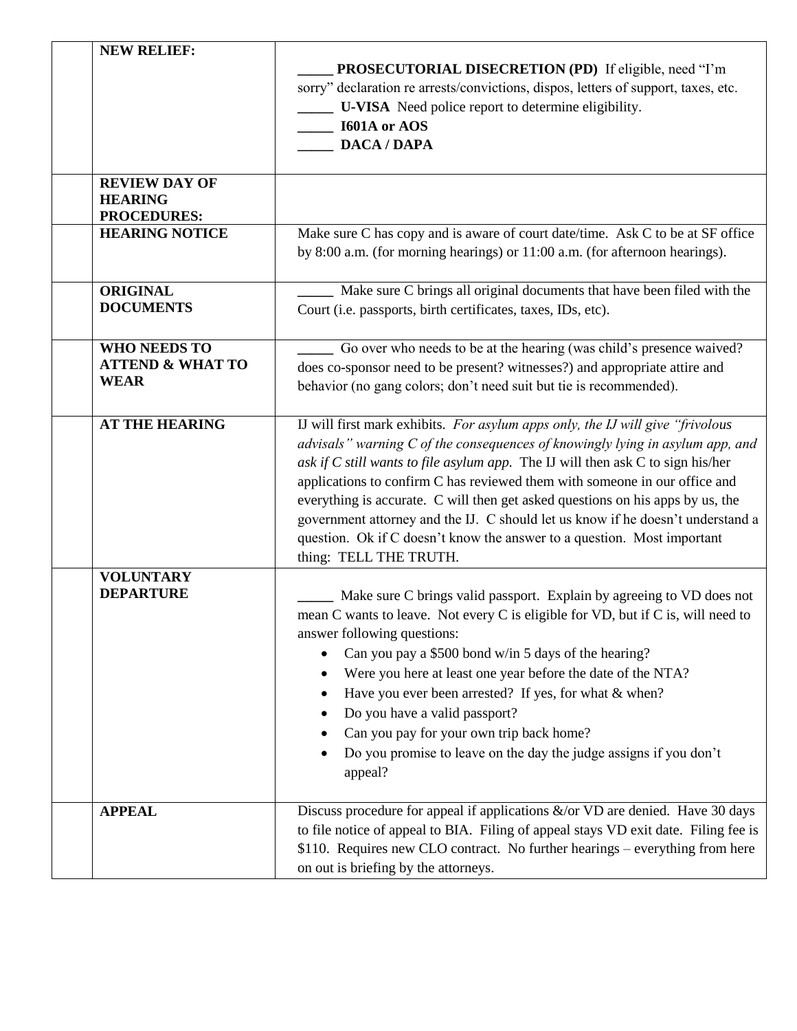| <b>NEW RELIEF:</b>                                                | <b>PROSECUTORIAL DISECRETION (PD)</b> If eligible, need "I'm<br>sorry" declaration re arrests/convictions, dispos, letters of support, taxes, etc.<br>U-VISA Need police report to determine eligibility.<br><b>I601A</b> or AOS<br><b>DACA / DAPA</b>                                                                                                                                                                                                                                                                                                                                                          |
|-------------------------------------------------------------------|-----------------------------------------------------------------------------------------------------------------------------------------------------------------------------------------------------------------------------------------------------------------------------------------------------------------------------------------------------------------------------------------------------------------------------------------------------------------------------------------------------------------------------------------------------------------------------------------------------------------|
| <b>REVIEW DAY OF</b><br><b>HEARING</b><br><b>PROCEDURES:</b>      |                                                                                                                                                                                                                                                                                                                                                                                                                                                                                                                                                                                                                 |
| <b>HEARING NOTICE</b>                                             | Make sure C has copy and is aware of court date/time. Ask C to be at SF office<br>by 8:00 a.m. (for morning hearings) or 11:00 a.m. (for afternoon hearings).                                                                                                                                                                                                                                                                                                                                                                                                                                                   |
| <b>ORIGINAL</b><br><b>DOCUMENTS</b>                               | Make sure C brings all original documents that have been filed with the<br>Court (i.e. passports, birth certificates, taxes, IDs, etc).                                                                                                                                                                                                                                                                                                                                                                                                                                                                         |
| <b>WHO NEEDS TO</b><br><b>ATTEND &amp; WHAT TO</b><br><b>WEAR</b> | Go over who needs to be at the hearing (was child's presence waived?<br>does co-sponsor need to be present? witnesses?) and appropriate attire and<br>behavior (no gang colors; don't need suit but tie is recommended).                                                                                                                                                                                                                                                                                                                                                                                        |
| <b>AT THE HEARING</b>                                             | IJ will first mark exhibits. For asylum apps only, the IJ will give "frivolous"<br>advisals" warning C of the consequences of knowingly lying in asylum app, and<br>ask if $C$ still wants to file asylum app. The IJ will then ask $C$ to sign his/her<br>applications to confirm C has reviewed them with someone in our office and<br>everything is accurate. C will then get asked questions on his apps by us, the<br>government attorney and the IJ. C should let us know if he doesn't understand a<br>question. Ok if C doesn't know the answer to a question. Most important<br>thing: TELL THE TRUTH. |
| <b>VOLUNTARY</b><br><b>DEPARTURE</b>                              | Make sure C brings valid passport. Explain by agreeing to VD does not<br>mean C wants to leave. Not every C is eligible for VD, but if C is, will need to<br>answer following questions:<br>Can you pay a \$500 bond w/in 5 days of the hearing?<br>Were you here at least one year before the date of the NTA?<br>Have you ever been arrested? If yes, for what & when?<br>Do you have a valid passport?<br>Can you pay for your own trip back home?<br>Do you promise to leave on the day the judge assigns if you don't<br>appeal?                                                                           |
| <b>APPEAL</b>                                                     | Discuss procedure for appeal if applications $\&$ /or VD are denied. Have 30 days<br>to file notice of appeal to BIA. Filing of appeal stays VD exit date. Filing fee is<br>\$110. Requires new CLO contract. No further hearings – everything from here<br>on out is briefing by the attorneys.                                                                                                                                                                                                                                                                                                                |